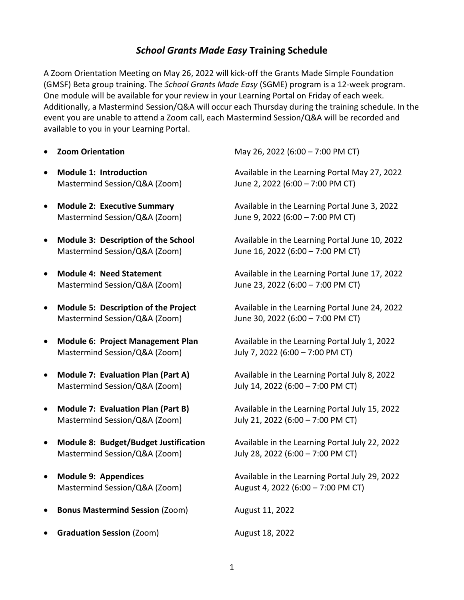## *School Grants Made Easy* **Training Schedule**

A Zoom Orientation Meeting on May 26, 2022 will kick-off the Grants Made Simple Foundation (GMSF) Beta group training. The *School Grants Made Easy* (SGME) program is a 12-week program. One module will be available for your review in your Learning Portal on Friday of each week. Additionally, a Mastermind Session/Q&A will occur each Thursday during the training schedule. In the event you are unable to attend a Zoom call, each Mastermind Session/Q&A will be recorded and available to you in your Learning Portal.

- 
- Mastermind Session/Q&A (Zoom) June 2, 2022 (6:00 7:00 PM CT)
- Mastermind Session/Q&A (Zoom) June 9, 2022 (6:00 7:00 PM CT)
- Mastermind Session/Q&A (Zoom) June 16, 2022 (6:00 7:00 PM CT)
- 
- Mastermind Session/Q&A (Zoom) June 30, 2022 (6:00 7:00 PM CT)
- Mastermind Session/Q&A (Zoom) July 7, 2022 (6:00 7:00 PM CT)
- Mastermind Session/Q&A (Zoom) July 14, 2022 (6:00 7:00 PM CT)
- Mastermind Session/Q&A (Zoom) July 21, 2022 (6:00 7:00 PM CT)
- Mastermind Session/Q&A (Zoom) July 28, 2022 (6:00 7:00 PM CT)
- 
- **Bonus Mastermind Session** (Zoom) August 11, 2022
- **Graduation Session** (Zoom) **August 18, 2022**

• **Zoom Orientation** May 26, 2022 (6:00 – 7:00 PM CT)

• **Module 1: Introduction** Available in the Learning Portal May 27, 2022

• **Module 2: Executive Summary** Available in the Learning Portal June 3, 2022

• **Module 3: Description of the School** Available in the Learning Portal June 10, 2022

• **Module 4: Need Statement** Available in the Learning Portal June 17, 2022 Mastermind Session/Q&A (Zoom) June 23, 2022 (6:00 – 7:00 PM CT)

• **Module 5: Description of the Project** Available in the Learning Portal June 24, 2022

• **Module 6: Project Management Plan** Available in the Learning Portal July 1, 2022

• **Module 7: Evaluation Plan (Part A)** Available in the Learning Portal July 8, 2022

• **Module 7: Evaluation Plan (Part B)** Available in the Learning Portal July 15, 2022

• **Module 8: Budget/Budget Justification** Available in the Learning Portal July 22, 2022

• **Module 9: Appendices** Available in the Learning Portal July 29, 2022 Mastermind Session/Q&A (Zoom) August 4, 2022 (6:00 – 7:00 PM CT)